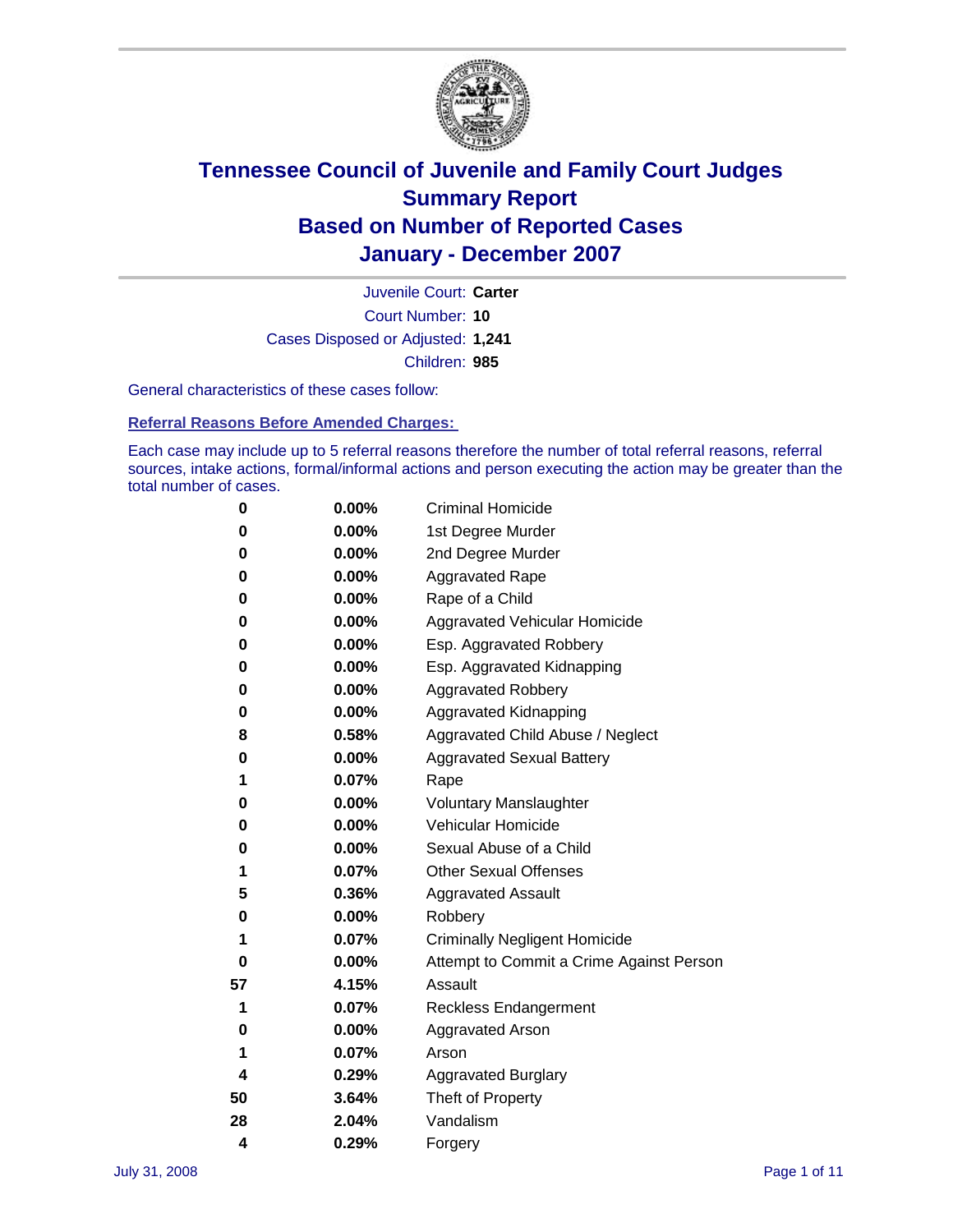

Court Number: **10** Juvenile Court: **Carter** Cases Disposed or Adjusted: **1,241** Children: **985**

General characteristics of these cases follow:

**Referral Reasons Before Amended Charges:** 

Each case may include up to 5 referral reasons therefore the number of total referral reasons, referral sources, intake actions, formal/informal actions and person executing the action may be greater than the total number of cases.

| 0  | 0.00%    | <b>Criminal Homicide</b>                 |
|----|----------|------------------------------------------|
| 0  | 0.00%    | 1st Degree Murder                        |
| 0  | $0.00\%$ | 2nd Degree Murder                        |
| 0  | 0.00%    | <b>Aggravated Rape</b>                   |
| 0  | 0.00%    | Rape of a Child                          |
| 0  | 0.00%    | Aggravated Vehicular Homicide            |
| 0  | 0.00%    | Esp. Aggravated Robbery                  |
| 0  | 0.00%    | Esp. Aggravated Kidnapping               |
| 0  | 0.00%    | <b>Aggravated Robbery</b>                |
| 0  | $0.00\%$ | Aggravated Kidnapping                    |
| 8  | 0.58%    | Aggravated Child Abuse / Neglect         |
| 0  | $0.00\%$ | <b>Aggravated Sexual Battery</b>         |
| 1  | 0.07%    | Rape                                     |
| 0  | 0.00%    | <b>Voluntary Manslaughter</b>            |
| 0  | 0.00%    | Vehicular Homicide                       |
| 0  | 0.00%    | Sexual Abuse of a Child                  |
| 1  | 0.07%    | <b>Other Sexual Offenses</b>             |
| 5  | 0.36%    | <b>Aggravated Assault</b>                |
| 0  | $0.00\%$ | Robbery                                  |
| 1  | 0.07%    | <b>Criminally Negligent Homicide</b>     |
| 0  | 0.00%    | Attempt to Commit a Crime Against Person |
| 57 | 4.15%    | Assault                                  |
| 1  | 0.07%    | <b>Reckless Endangerment</b>             |
| 0  | 0.00%    | <b>Aggravated Arson</b>                  |
| 1  | 0.07%    | Arson                                    |
| 4  | 0.29%    | <b>Aggravated Burglary</b>               |
| 50 | 3.64%    | Theft of Property                        |
| 28 | 2.04%    | Vandalism                                |
| 4  | 0.29%    | Forgery                                  |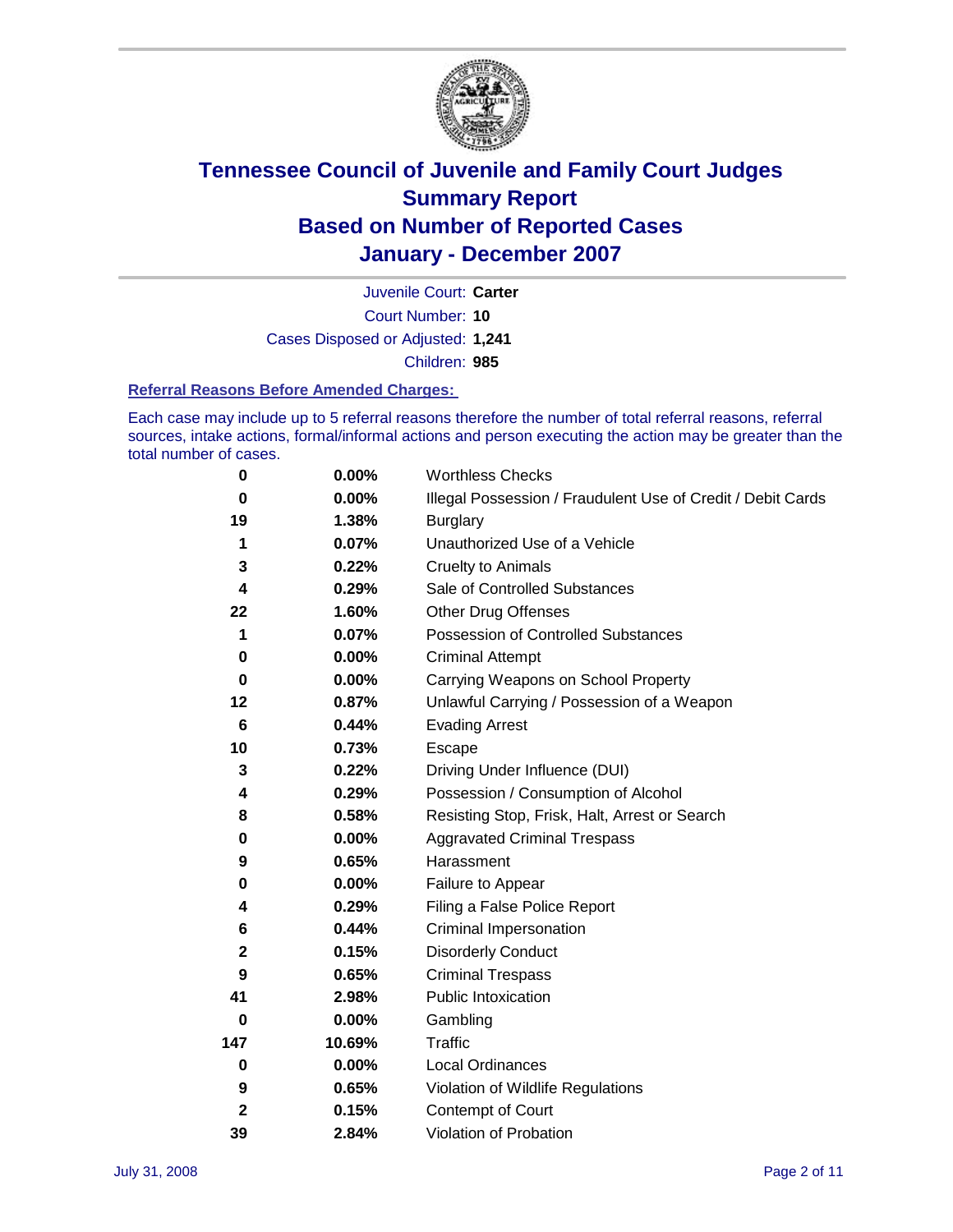

Court Number: **10** Juvenile Court: **Carter** Cases Disposed or Adjusted: **1,241** Children: **985**

#### **Referral Reasons Before Amended Charges:**

Each case may include up to 5 referral reasons therefore the number of total referral reasons, referral sources, intake actions, formal/informal actions and person executing the action may be greater than the total number of cases.

| 0            | 0.00%    | <b>Worthless Checks</b>                                     |
|--------------|----------|-------------------------------------------------------------|
| 0            | $0.00\%$ | Illegal Possession / Fraudulent Use of Credit / Debit Cards |
| 19           | 1.38%    | <b>Burglary</b>                                             |
| 1            | 0.07%    | Unauthorized Use of a Vehicle                               |
| 3            | 0.22%    | <b>Cruelty to Animals</b>                                   |
| 4            | 0.29%    | Sale of Controlled Substances                               |
| 22           | 1.60%    | <b>Other Drug Offenses</b>                                  |
| 1            | 0.07%    | Possession of Controlled Substances                         |
| 0            | $0.00\%$ | <b>Criminal Attempt</b>                                     |
| $\bf{0}$     | 0.00%    | Carrying Weapons on School Property                         |
| 12           | 0.87%    | Unlawful Carrying / Possession of a Weapon                  |
| 6            | 0.44%    | <b>Evading Arrest</b>                                       |
| 10           | 0.73%    | Escape                                                      |
| 3            | 0.22%    | Driving Under Influence (DUI)                               |
| 4            | 0.29%    | Possession / Consumption of Alcohol                         |
| 8            | 0.58%    | Resisting Stop, Frisk, Halt, Arrest or Search               |
| 0            | 0.00%    | <b>Aggravated Criminal Trespass</b>                         |
| 9            | 0.65%    | Harassment                                                  |
| 0            | $0.00\%$ | Failure to Appear                                           |
| 4            | 0.29%    | Filing a False Police Report                                |
| 6            | 0.44%    | Criminal Impersonation                                      |
| $\mathbf 2$  | 0.15%    | <b>Disorderly Conduct</b>                                   |
| 9            | 0.65%    | <b>Criminal Trespass</b>                                    |
| 41           | 2.98%    | Public Intoxication                                         |
| 0            | $0.00\%$ | Gambling                                                    |
| 147          | 10.69%   | Traffic                                                     |
| 0            | $0.00\%$ | Local Ordinances                                            |
| 9            | 0.65%    | Violation of Wildlife Regulations                           |
| $\mathbf{2}$ | 0.15%    | Contempt of Court                                           |
| 39           | 2.84%    | Violation of Probation                                      |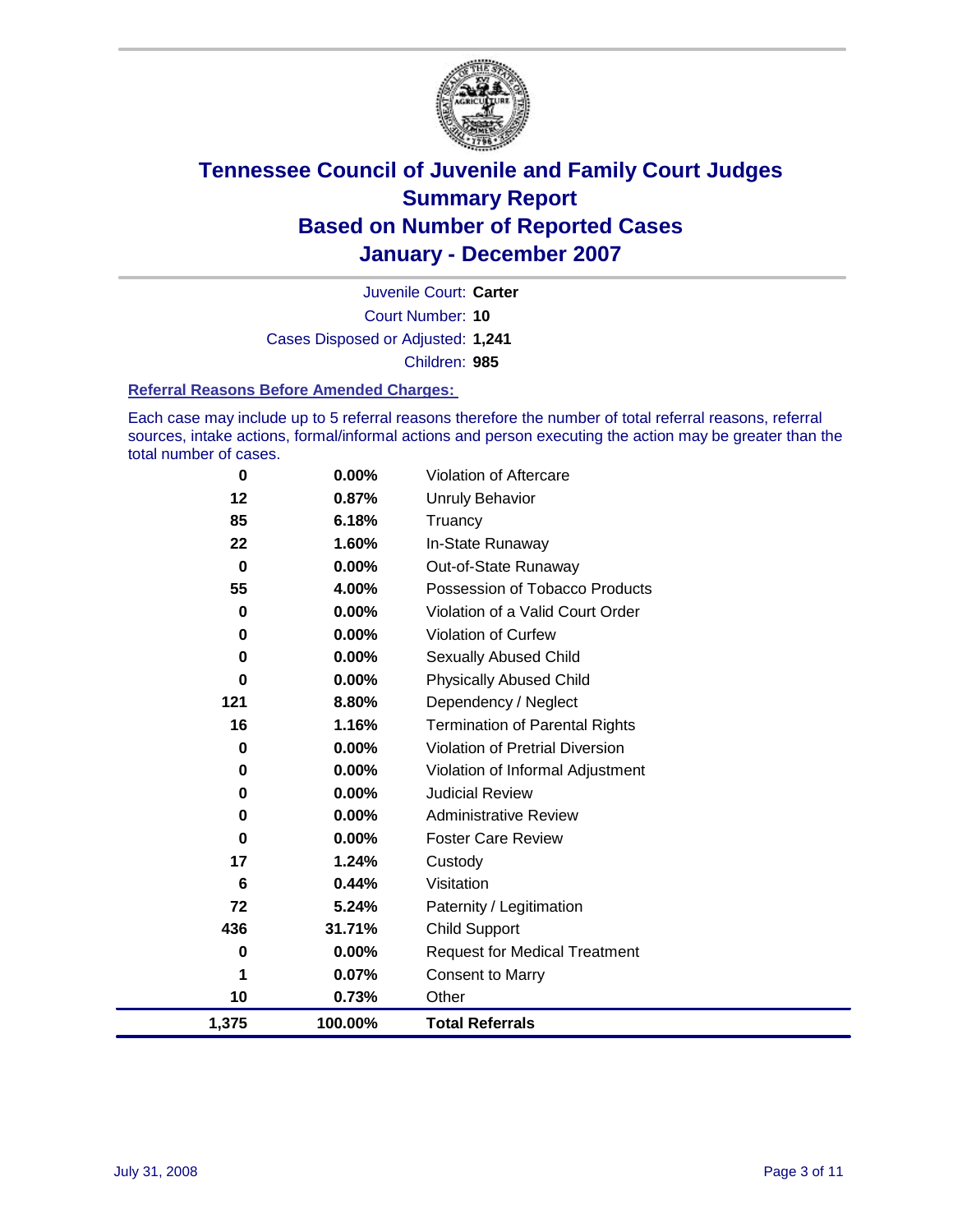

Court Number: **10** Juvenile Court: **Carter** Cases Disposed or Adjusted: **1,241** Children: **985**

#### **Referral Reasons Before Amended Charges:**

Each case may include up to 5 referral reasons therefore the number of total referral reasons, referral sources, intake actions, formal/informal actions and person executing the action may be greater than the total number of cases.

| 1,375    | 100.00%  | <b>Total Referrals</b>                 |
|----------|----------|----------------------------------------|
| 10       | 0.73%    | Other                                  |
| 1        | 0.07%    | <b>Consent to Marry</b>                |
| 0        | $0.00\%$ | <b>Request for Medical Treatment</b>   |
| 436      | 31.71%   | <b>Child Support</b>                   |
| 72       | 5.24%    | Paternity / Legitimation               |
| 6        | 0.44%    | Visitation                             |
| 17       | 1.24%    | Custody                                |
| 0        | $0.00\%$ | <b>Foster Care Review</b>              |
| 0        | 0.00%    | <b>Administrative Review</b>           |
| 0        | 0.00%    | <b>Judicial Review</b>                 |
| 0        | 0.00%    | Violation of Informal Adjustment       |
| 0        | 0.00%    | <b>Violation of Pretrial Diversion</b> |
| 16       | 1.16%    | <b>Termination of Parental Rights</b>  |
| 121      | 8.80%    | Dependency / Neglect                   |
| $\bf{0}$ | 0.00%    | <b>Physically Abused Child</b>         |
| 0        | 0.00%    | <b>Sexually Abused Child</b>           |
| 0        | 0.00%    | <b>Violation of Curfew</b>             |
| 0        | 0.00%    | Violation of a Valid Court Order       |
| 55       | 4.00%    | Possession of Tobacco Products         |
| $\bf{0}$ | 0.00%    | Out-of-State Runaway                   |
| 22       | 1.60%    | In-State Runaway                       |
| 85       | 6.18%    | Truancy                                |
| 12       | 0.87%    | <b>Unruly Behavior</b>                 |
| 0        | 0.00%    | Violation of Aftercare                 |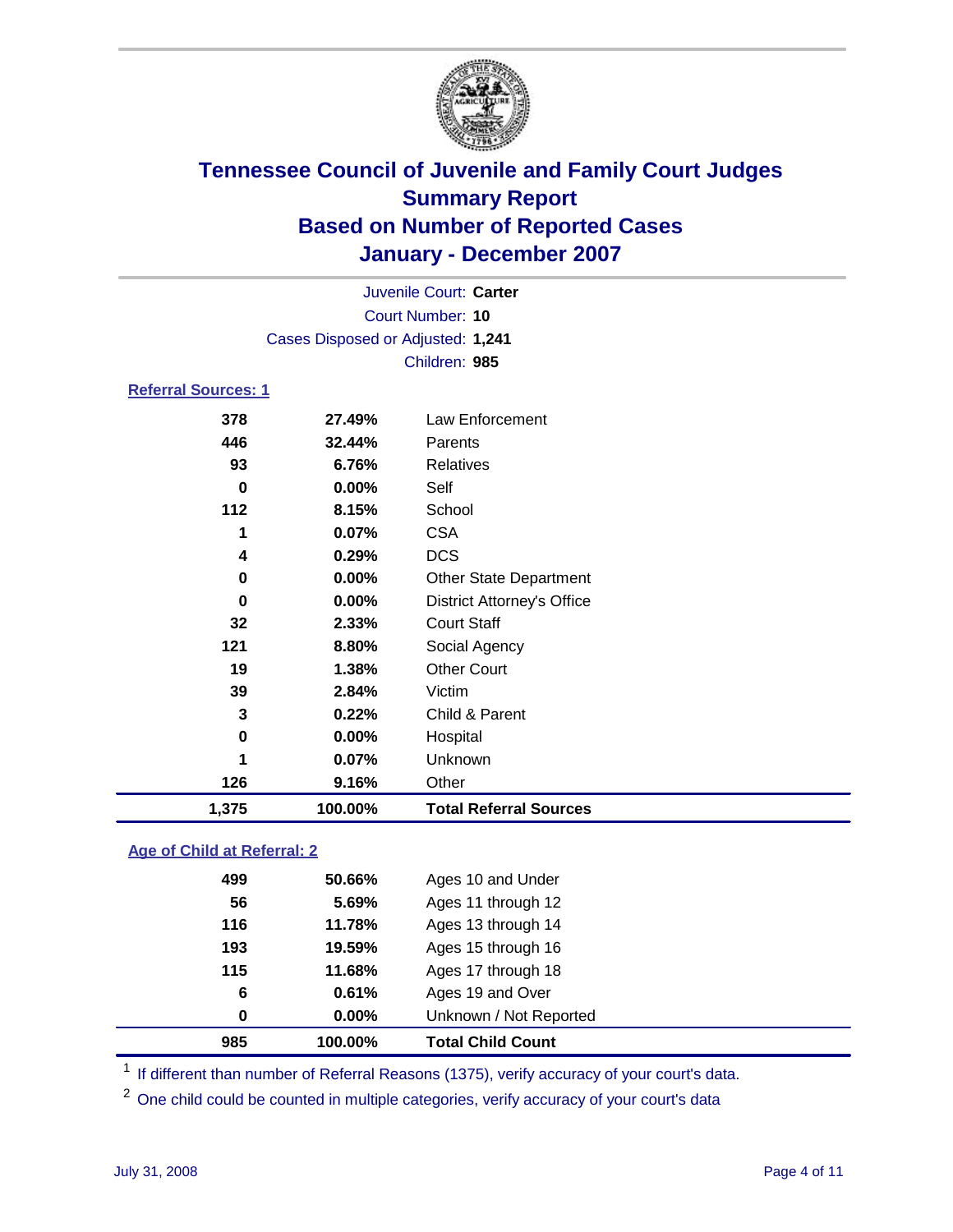

|                            |                  | Juvenile Court: Carter            |  |  |  |
|----------------------------|------------------|-----------------------------------|--|--|--|
|                            | Court Number: 10 |                                   |  |  |  |
|                            |                  | Cases Disposed or Adjusted: 1,241 |  |  |  |
|                            |                  | Children: 985                     |  |  |  |
| <b>Referral Sources: 1</b> |                  |                                   |  |  |  |
| 378                        | 27.49%           | Law Enforcement                   |  |  |  |
| 446                        | 32.44%           | Parents                           |  |  |  |
| 93                         | 6.76%            | <b>Relatives</b>                  |  |  |  |
| 0                          | $0.00\%$         | Self                              |  |  |  |
| 112                        | 8.15%            | School                            |  |  |  |

| 1,375 | 100.00% | <b>Total Referral Sources</b>     |
|-------|---------|-----------------------------------|
| 126   | 9.16%   | Other                             |
| 1     | 0.07%   | Unknown                           |
| 0     | 0.00%   | Hospital                          |
| 3     | 0.22%   | Child & Parent                    |
| 39    | 2.84%   | Victim                            |
| 19    | 1.38%   | <b>Other Court</b>                |
| 121   | 8.80%   | Social Agency                     |
| 32    | 2.33%   | <b>Court Staff</b>                |
| 0     | 0.00%   | <b>District Attorney's Office</b> |
| 0     | 0.00%   | <b>Other State Department</b>     |
| 4     | 0.29%   | <b>DCS</b>                        |
|       | 0.07%   | <b>CSA</b>                        |

### **Age of Child at Referral: 2**

| 985 | 100.00%  | <b>Total Child Count</b> |  |
|-----|----------|--------------------------|--|
| 0   | $0.00\%$ | Unknown / Not Reported   |  |
| 6   | 0.61%    | Ages 19 and Over         |  |
| 115 | 11.68%   | Ages 17 through 18       |  |
| 193 | 19.59%   | Ages 15 through 16       |  |
| 116 | 11.78%   | Ages 13 through 14       |  |
| 56  | 5.69%    | Ages 11 through 12       |  |
| 499 | 50.66%   | Ages 10 and Under        |  |
|     |          |                          |  |

<sup>1</sup> If different than number of Referral Reasons (1375), verify accuracy of your court's data.

One child could be counted in multiple categories, verify accuracy of your court's data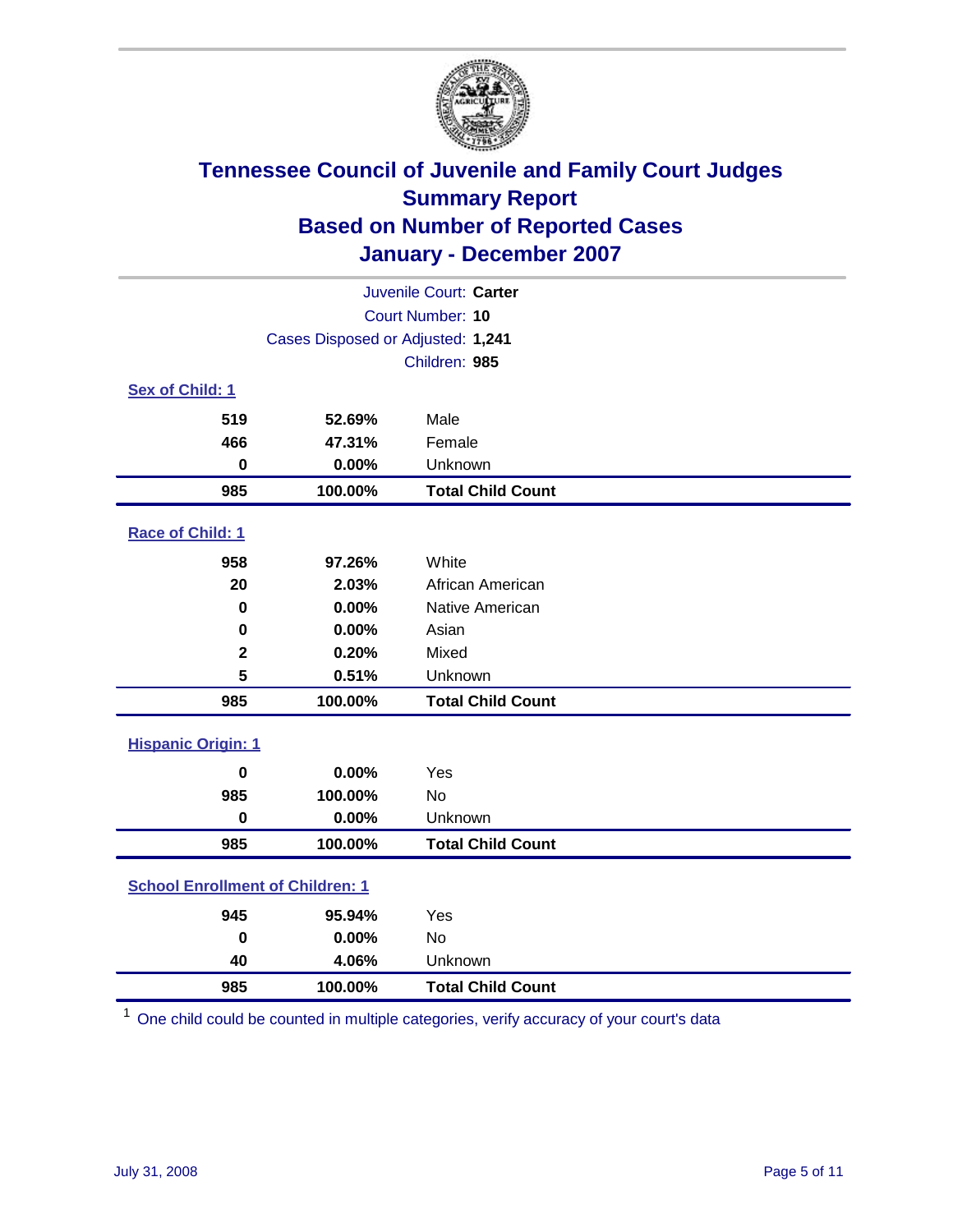

| Juvenile Court: Carter                  |                                   |                          |  |  |  |
|-----------------------------------------|-----------------------------------|--------------------------|--|--|--|
|                                         | Court Number: 10                  |                          |  |  |  |
|                                         | Cases Disposed or Adjusted: 1,241 |                          |  |  |  |
|                                         |                                   | Children: 985            |  |  |  |
| Sex of Child: 1                         |                                   |                          |  |  |  |
| 519                                     | 52.69%                            | Male                     |  |  |  |
| 466                                     | 47.31%                            | Female                   |  |  |  |
| $\bf{0}$                                | 0.00%                             | Unknown                  |  |  |  |
| 985                                     | 100.00%                           | <b>Total Child Count</b> |  |  |  |
| Race of Child: 1                        |                                   |                          |  |  |  |
| 958                                     | 97.26%                            | White                    |  |  |  |
| 20                                      | 2.03%                             | African American         |  |  |  |
| 0                                       | 0.00%                             | Native American          |  |  |  |
| 0                                       | 0.00%                             | Asian                    |  |  |  |
| $\mathbf 2$                             | 0.20%                             | Mixed                    |  |  |  |
| 5                                       | 0.51%                             | Unknown                  |  |  |  |
| 985                                     | 100.00%                           | <b>Total Child Count</b> |  |  |  |
| <b>Hispanic Origin: 1</b>               |                                   |                          |  |  |  |
| $\bf{0}$                                | 0.00%                             | Yes                      |  |  |  |
| 985                                     | 100.00%                           | <b>No</b>                |  |  |  |
| $\mathbf 0$                             | 0.00%                             | Unknown                  |  |  |  |
| 985                                     | 100.00%                           | <b>Total Child Count</b> |  |  |  |
| <b>School Enrollment of Children: 1</b> |                                   |                          |  |  |  |
| 945                                     | 95.94%                            | Yes                      |  |  |  |
| $\bf{0}$                                | 0.00%                             | <b>No</b>                |  |  |  |
| 40                                      | 4.06%                             | Unknown                  |  |  |  |
| 985                                     | 100.00%                           | <b>Total Child Count</b> |  |  |  |

One child could be counted in multiple categories, verify accuracy of your court's data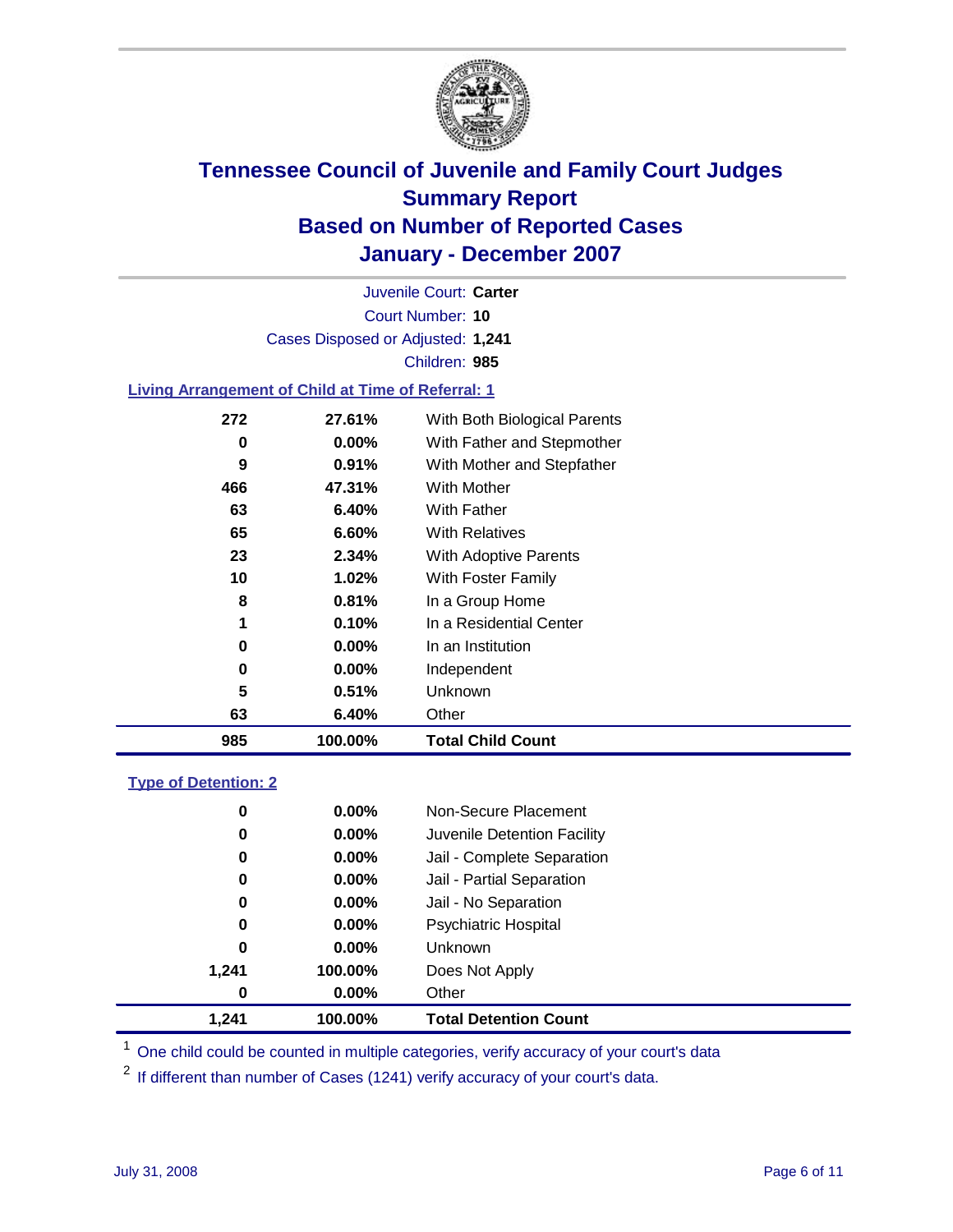

Court Number: **10** Juvenile Court: **Carter** Cases Disposed or Adjusted: **1,241** Children: **985**

#### **Living Arrangement of Child at Time of Referral: 1**

| 985 | 100.00%  | <b>Total Child Count</b>     |
|-----|----------|------------------------------|
| 63  | 6.40%    | Other                        |
| 5   | 0.51%    | Unknown                      |
| 0   | $0.00\%$ | Independent                  |
| 0   | $0.00\%$ | In an Institution            |
| 1   | 0.10%    | In a Residential Center      |
| 8   | 0.81%    | In a Group Home              |
| 10  | 1.02%    | With Foster Family           |
| 23  | 2.34%    | With Adoptive Parents        |
| 65  | 6.60%    | <b>With Relatives</b>        |
| 63  | 6.40%    | With Father                  |
| 466 | 47.31%   | With Mother                  |
| 9   | 0.91%    | With Mother and Stepfather   |
| 0   | $0.00\%$ | With Father and Stepmother   |
| 272 | 27.61%   | With Both Biological Parents |
|     |          |                              |

#### **Type of Detention: 2**

| 1,241 | 100.00%  | <b>Total Detention Count</b> |  |
|-------|----------|------------------------------|--|
| 0     | $0.00\%$ | Other                        |  |
| 1,241 | 100.00%  | Does Not Apply               |  |
| 0     | $0.00\%$ | <b>Unknown</b>               |  |
| 0     | $0.00\%$ | <b>Psychiatric Hospital</b>  |  |
| 0     | 0.00%    | Jail - No Separation         |  |
| 0     | $0.00\%$ | Jail - Partial Separation    |  |
| 0     | 0.00%    | Jail - Complete Separation   |  |
| 0     | 0.00%    | Juvenile Detention Facility  |  |
| 0     | $0.00\%$ | Non-Secure Placement         |  |
|       |          |                              |  |

<sup>1</sup> One child could be counted in multiple categories, verify accuracy of your court's data

<sup>2</sup> If different than number of Cases (1241) verify accuracy of your court's data.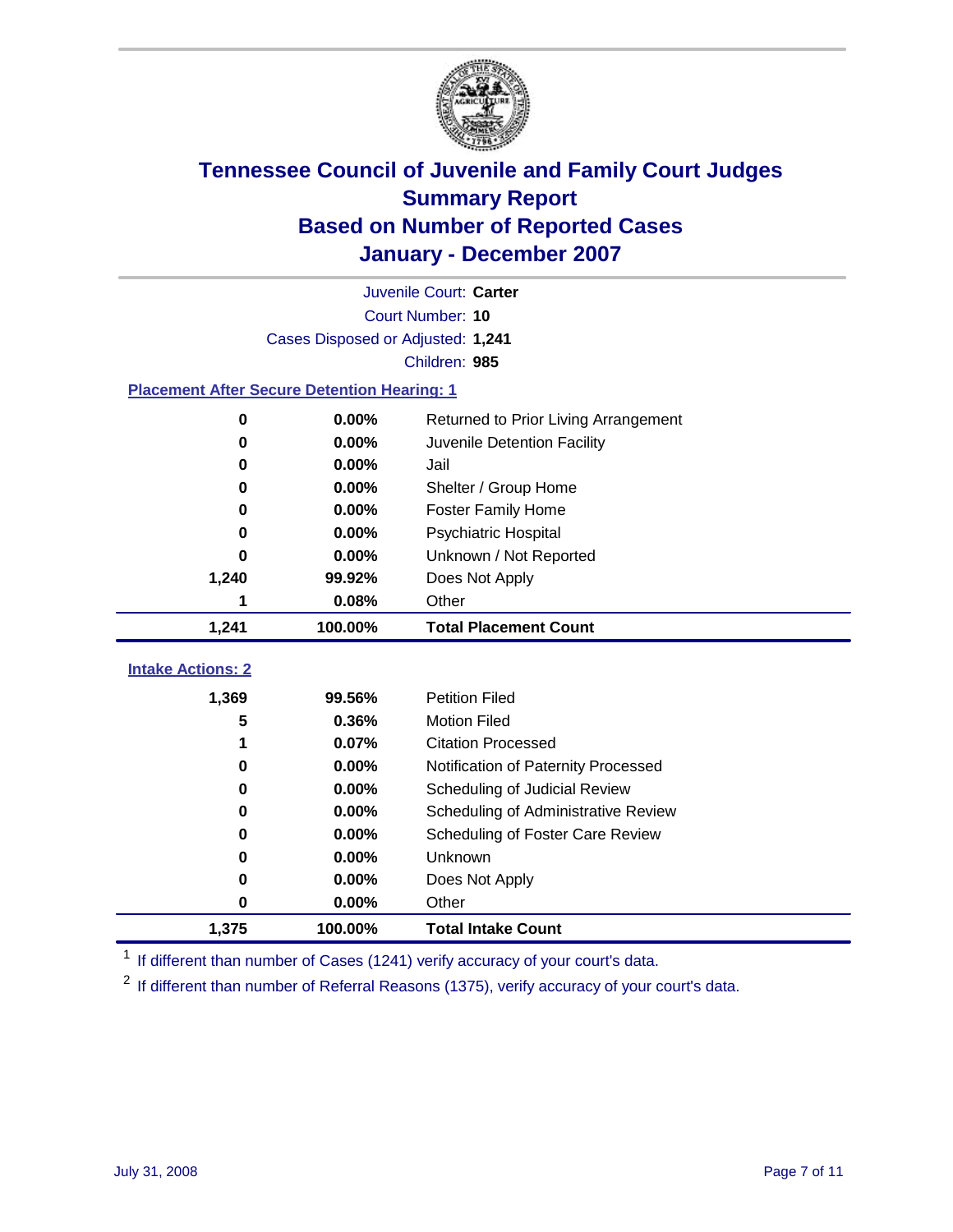

|                                                    | Juvenile Court: Carter            |                                      |  |  |  |  |  |
|----------------------------------------------------|-----------------------------------|--------------------------------------|--|--|--|--|--|
|                                                    | Court Number: 10                  |                                      |  |  |  |  |  |
|                                                    | Cases Disposed or Adjusted: 1,241 |                                      |  |  |  |  |  |
|                                                    | Children: 985                     |                                      |  |  |  |  |  |
| <b>Placement After Secure Detention Hearing: 1</b> |                                   |                                      |  |  |  |  |  |
| 0                                                  | 0.00%                             | Returned to Prior Living Arrangement |  |  |  |  |  |
| 0                                                  | 0.00%                             | Juvenile Detention Facility          |  |  |  |  |  |
| 0                                                  | 0.00%                             | Jail                                 |  |  |  |  |  |
| 0                                                  | 0.00%                             | Shelter / Group Home                 |  |  |  |  |  |
| 0                                                  | 0.00%                             | <b>Foster Family Home</b>            |  |  |  |  |  |
| 0                                                  | 0.00%                             | Psychiatric Hospital                 |  |  |  |  |  |
| 0                                                  | 0.00%                             | Unknown / Not Reported               |  |  |  |  |  |
| 1,240                                              | 99.92%                            | Does Not Apply                       |  |  |  |  |  |
| 1                                                  | 0.08%                             | Other                                |  |  |  |  |  |
| 1,241                                              | 100.00%                           | <b>Total Placement Count</b>         |  |  |  |  |  |
|                                                    |                                   |                                      |  |  |  |  |  |
| <b>Intake Actions: 2</b>                           |                                   |                                      |  |  |  |  |  |
| 1,369                                              | 99.56%                            | <b>Petition Filed</b>                |  |  |  |  |  |
| 5                                                  | 0.36%                             | <b>Motion Filed</b>                  |  |  |  |  |  |
| 1                                                  | 0.07%                             | <b>Citation Processed</b>            |  |  |  |  |  |
| 0                                                  | 0.00%                             | Notification of Paternity Processed  |  |  |  |  |  |
| 0                                                  | $0.00\%$                          | Scheduling of Judicial Review        |  |  |  |  |  |
| 0                                                  | 0.00%                             | Scheduling of Administrative Review  |  |  |  |  |  |
| 0                                                  | 0.00%                             | Scheduling of Foster Care Review     |  |  |  |  |  |
| 0                                                  | 0.00%                             | Unknown                              |  |  |  |  |  |
| 0                                                  | 0.00%                             | Does Not Apply                       |  |  |  |  |  |
| 0                                                  | 0.00%                             | Other                                |  |  |  |  |  |
| 1,375                                              | 100.00%                           | <b>Total Intake Count</b>            |  |  |  |  |  |

<sup>1</sup> If different than number of Cases (1241) verify accuracy of your court's data.

<sup>2</sup> If different than number of Referral Reasons (1375), verify accuracy of your court's data.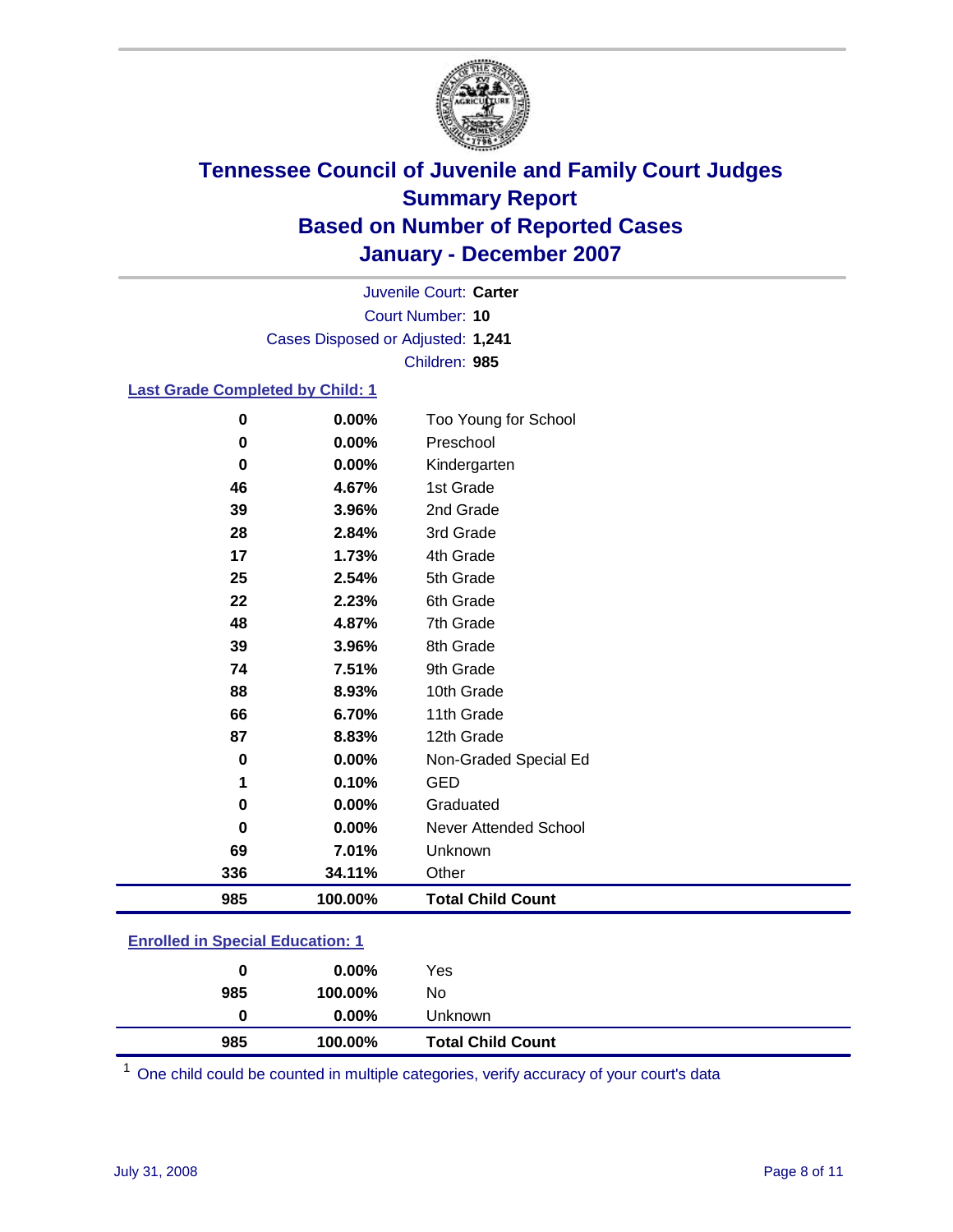

Court Number: **10** Juvenile Court: **Carter** Cases Disposed or Adjusted: **1,241** Children: **985**

### **Last Grade Completed by Child: 1**

| $\bf{0}$ | 0.00%   | Too Young for School     |
|----------|---------|--------------------------|
| 0        | 0.00%   | Preschool                |
| $\bf{0}$ | 0.00%   | Kindergarten             |
| 46       | 4.67%   | 1st Grade                |
| 39       | 3.96%   | 2nd Grade                |
| 28       | 2.84%   | 3rd Grade                |
| 17       | 1.73%   | 4th Grade                |
| 25       | 2.54%   | 5th Grade                |
| 22       | 2.23%   | 6th Grade                |
| 48       | 4.87%   | 7th Grade                |
| 39       | 3.96%   | 8th Grade                |
| 74       | 7.51%   | 9th Grade                |
| 88       | 8.93%   | 10th Grade               |
| 66       | 6.70%   | 11th Grade               |
| 87       | 8.83%   | 12th Grade               |
| $\bf{0}$ | 0.00%   | Non-Graded Special Ed    |
| 1        | 0.10%   | GED                      |
| 0        | 0.00%   | Graduated                |
| 0        | 0.00%   | Never Attended School    |
| 69       | 7.01%   | Unknown                  |
| 336      | 34.11%  | Other                    |
| 985      | 100.00% | <b>Total Child Count</b> |

### **Enrolled in Special Education: 1**

| 0   | $0.00\%$ | Yes                      |
|-----|----------|--------------------------|
| 985 | 100.00%  | No.                      |
| 0   | $0.00\%$ | Unknown                  |
| 985 | 100.00%  | <b>Total Child Count</b> |

One child could be counted in multiple categories, verify accuracy of your court's data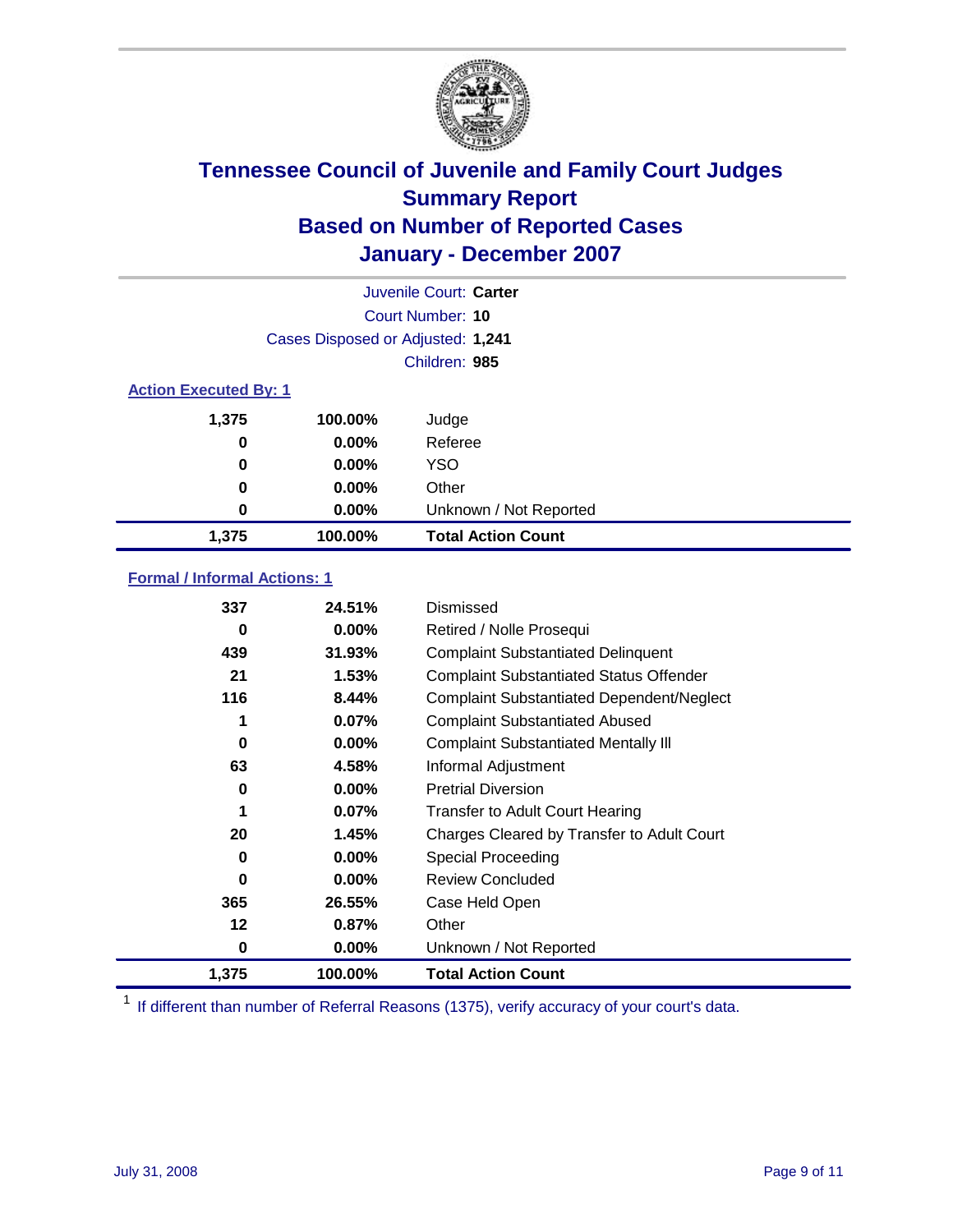

|                              |                                   | Juvenile Court: Carter    |
|------------------------------|-----------------------------------|---------------------------|
|                              |                                   | Court Number: 10          |
|                              | Cases Disposed or Adjusted: 1,241 |                           |
|                              |                                   | Children: 985             |
| <b>Action Executed By: 1</b> |                                   |                           |
| 1,375                        | 100.00%                           | Judge                     |
| 0                            | $0.00\%$                          | Referee                   |
| 0                            | $0.00\%$                          | <b>YSO</b>                |
| 0                            | $0.00\%$                          | Other                     |
| 0                            | $0.00\%$                          | Unknown / Not Reported    |
| 1,375                        | 100.00%                           | <b>Total Action Count</b> |

### **Formal / Informal Actions: 1**

| 337   | 24.51%   | Dismissed                                        |
|-------|----------|--------------------------------------------------|
| 0     | $0.00\%$ | Retired / Nolle Prosequi                         |
| 439   | 31.93%   | <b>Complaint Substantiated Delinquent</b>        |
| 21    | 1.53%    | <b>Complaint Substantiated Status Offender</b>   |
| 116   | 8.44%    | <b>Complaint Substantiated Dependent/Neglect</b> |
| 1     | $0.07\%$ | <b>Complaint Substantiated Abused</b>            |
| 0     | $0.00\%$ | <b>Complaint Substantiated Mentally III</b>      |
| 63    | 4.58%    | Informal Adjustment                              |
| 0     | $0.00\%$ | <b>Pretrial Diversion</b>                        |
| 1     | $0.07\%$ | <b>Transfer to Adult Court Hearing</b>           |
| 20    | 1.45%    | Charges Cleared by Transfer to Adult Court       |
| 0     | $0.00\%$ | Special Proceeding                               |
| 0     | $0.00\%$ | Review Concluded                                 |
| 365   | 26.55%   | Case Held Open                                   |
| 12    | 0.87%    | Other                                            |
| 0     | $0.00\%$ | Unknown / Not Reported                           |
| 1,375 | 100.00%  | <b>Total Action Count</b>                        |

<sup>1</sup> If different than number of Referral Reasons (1375), verify accuracy of your court's data.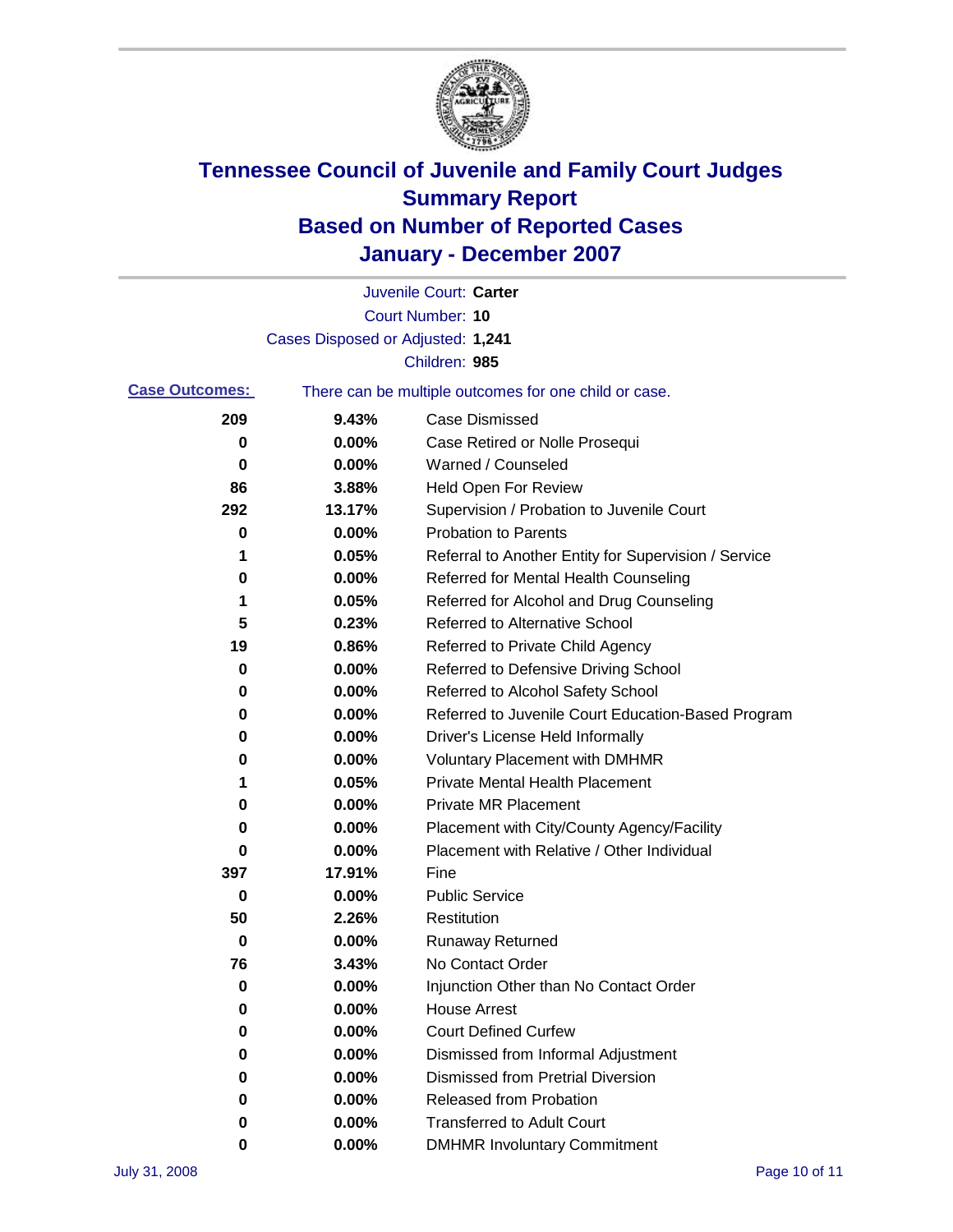

|                       |                                   | Juvenile Court: Carter                                |
|-----------------------|-----------------------------------|-------------------------------------------------------|
|                       |                                   | <b>Court Number: 10</b>                               |
|                       | Cases Disposed or Adjusted: 1,241 |                                                       |
|                       |                                   | Children: 985                                         |
| <b>Case Outcomes:</b> |                                   | There can be multiple outcomes for one child or case. |
| 209                   | 9.43%                             | <b>Case Dismissed</b>                                 |
| 0                     | 0.00%                             | Case Retired or Nolle Prosequi                        |
| 0                     | 0.00%                             | Warned / Counseled                                    |
| 86                    | 3.88%                             | Held Open For Review                                  |
| 292                   | 13.17%                            | Supervision / Probation to Juvenile Court             |
| 0                     | 0.00%                             | <b>Probation to Parents</b>                           |
| 1                     | 0.05%                             | Referral to Another Entity for Supervision / Service  |
| 0                     | 0.00%                             | Referred for Mental Health Counseling                 |
| 1                     | 0.05%                             | Referred for Alcohol and Drug Counseling              |
| 5                     | 0.23%                             | <b>Referred to Alternative School</b>                 |
| 19                    | 0.86%                             | Referred to Private Child Agency                      |
| 0                     | 0.00%                             | Referred to Defensive Driving School                  |
| 0                     | 0.00%                             | Referred to Alcohol Safety School                     |
| 0                     | 0.00%                             | Referred to Juvenile Court Education-Based Program    |
| 0                     | 0.00%                             | Driver's License Held Informally                      |
| 0                     | 0.00%                             | <b>Voluntary Placement with DMHMR</b>                 |
| 1                     | 0.05%                             | <b>Private Mental Health Placement</b>                |
| 0                     | 0.00%                             | <b>Private MR Placement</b>                           |
| 0                     | 0.00%                             | Placement with City/County Agency/Facility            |
| 0                     | 0.00%                             | Placement with Relative / Other Individual            |
| 397                   | 17.91%                            | Fine                                                  |
| 0                     | 0.00%                             | <b>Public Service</b>                                 |
| 50                    | 2.26%                             | Restitution                                           |
| 0                     | 0.00%                             | <b>Runaway Returned</b>                               |
| 76                    | 3.43%                             | No Contact Order                                      |
| $\mathbf 0$           | 0.00%                             | Injunction Other than No Contact Order                |
| 0                     | 0.00%                             | <b>House Arrest</b>                                   |
| 0                     | 0.00%                             | <b>Court Defined Curfew</b>                           |
| 0                     | 0.00%                             | Dismissed from Informal Adjustment                    |
| 0                     | 0.00%                             | <b>Dismissed from Pretrial Diversion</b>              |
| 0                     | 0.00%                             | Released from Probation                               |
| 0                     | 0.00%                             | <b>Transferred to Adult Court</b>                     |
| 0                     | $0.00\%$                          | <b>DMHMR Involuntary Commitment</b>                   |